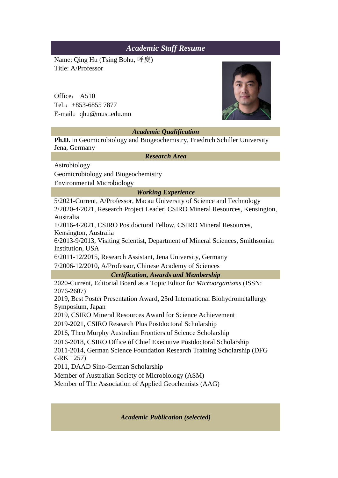## *Academic Staff Resume*

Name: Qing Hu (Tsing Bohu, 呼慶) Title: A/Professor

Office: A510 Tel.:+853-6855 7877 E-mail:qhu@must.edu.mo



## *Academic Qualification*

**Ph.D.** in Geomicrobiology and Biogeochemistry, Friedrich Schiller University Jena, Germany

*Research Area*

Astrobiology

Geomicrobiology and Biogeochemistry

Environmental Microbiology

*Working Experience*

5/2021-Current, A/Professor, Macau University of Science and Technology

2/2020-4/2021, Research Project Leader, CSIRO Mineral Resources, Kensington, Australia

1/2016-4/2021, CSIRO Postdoctoral Fellow, CSIRO Mineral Resources, Kensington, Australia

6/2013-9/2013, Visiting Scientist, Department of Mineral Sciences, Smithsonian Institution, USA

6/2011-12/2015, Research Assistant, Jena University, Germany

7/2006-12/2010, A/Professor, Chinese Academy of Sciences

*Certification, Awards and Membership*

2020-Current, Editorial Board as a Topic Editor for *Microorganisms* (ISSN: 2076-2607)

2019, Best Poster Presentation Award, 23rd International Biohydrometallurgy Symposium, Japan

2019, CSIRO Mineral Resources Award for Science Achievement

2019-2021, CSIRO Research Plus Postdoctoral Scholarship

2016, Theo Murphy Australian Frontiers of Science Scholarship

2016-2018, CSIRO Office of Chief Executive Postdoctoral Scholarship

2011-2014, German Science Foundation Research Training Scholarship (DFG GRK 1257)

2011, DAAD Sino-German Scholarship

Member of Australian Society of Microbiology (ASM)

Member of The Association of Applied Geochemists (AAG)

*Academic Publication (selected)*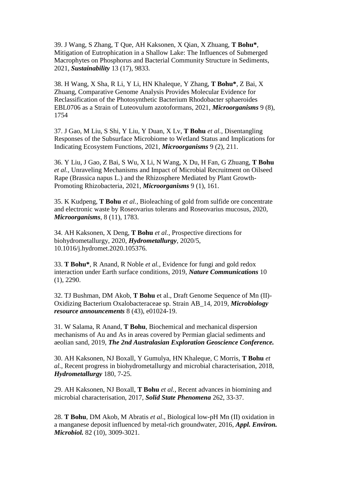39. J Wang, S Zhang, T Que, AH Kaksonen, X Qian, X Zhuang, **T Bohu\***, Mitigation of Eutrophication in a Shallow Lake: The Influences of Submerged Macrophytes on Phosphorus and Bacterial Community Structure in Sediments, 2021, *Sustainability* 13 (17), 9833.

38. H Wang, X Sha, R Li, Y Li, HN Khaleque, Y Zhang, **T Bohu\***, Z Bai, X Zhuang, Comparative Genome Analysis Provides Molecular Evidence for Reclassification of the Photosynthetic Bacterium Rhodobacter sphaeroides EBL0706 as a Strain of Luteovulum azotoformans, 2021, *Microorganisms* 9 (8), 1754

37. J Gao, M Liu, S Shi, Y Liu, Y Duan, X Lv, **T Bohu** *et al.,* Disentangling Responses of the Subsurface Microbiome to Wetland Status and Implications for Indicating Ecosystem Functions, 2021, *Microorganisms* 9 (2), 211.

36. Y Liu, J Gao, Z Bai, S Wu, X Li, N Wang, X Du, H Fan, G Zhuang, **T Bohu** *et al.,* Unraveling Mechanisms and Impact of Microbial Recruitment on Oilseed Rape (Brassica napus L.) and the Rhizosphere Mediated by Plant Growth-Promoting Rhizobacteria, 2021, *Microorganisms* 9 (1), 161.

35. K Kudpeng, **T Bohu** *et al.,* Bioleaching of gold from sulfide ore concentrate and electronic waste by Roseovarius tolerans and Roseovarius mucosus, 2020, *Microorganisms*, 8 (11), 1783.

34. AH Kaksonen, X Deng, **T Bohu** *et al.,* Prospective directions for biohydrometallurgy, 2020, *Hydrometallurgy*, 2020/5, 10.1016/j.hydromet.2020.105376.

33. **T Bohu\***, R Anand, R Noble *et al.,* Evidence for fungi and gold redox interaction under Earth surface conditions, 2019, *Nature Communications* 10 (1), 2290.

32. TJ Bushman, DM Akob, **T Bohu** et al., Draft Genome Sequence of Mn (II)- Oxidizing Bacterium Oxalobacteraceae sp. Strain AB\_14, 2019, *Microbiology resource announcements* 8 (43), e01024-19.

31. W Salama, R Anand, **T Bohu**, Biochemical and mechanical dispersion mechanisms of Au and As in areas covered by Permian glacial sediments and aeolian sand, 2019, *The 2nd Australasian Exploration Geoscience Conference.*

30. AH Kaksonen, NJ Boxall, Y Gumulya, HN Khaleque, C Morris, **T Bohu** *et al.,* Recent progress in biohydrometallurgy and microbial characterisation, 2018, *Hydrometallurgy* 180, 7-25.

29. AH Kaksonen, NJ Boxall, **T Bohu** *et al.,* Recent advances in biomining and microbial characterisation, 2017, *Solid State Phenomena* 262, 33-37.

28. **T Bohu**, DM Akob, M Abratis *et al*., Biological low-pH Mn (II) oxidation in a manganese deposit influenced by metal-rich groundwater, 2016, *Appl. Environ. Microbiol.* 82 (10), 3009-3021.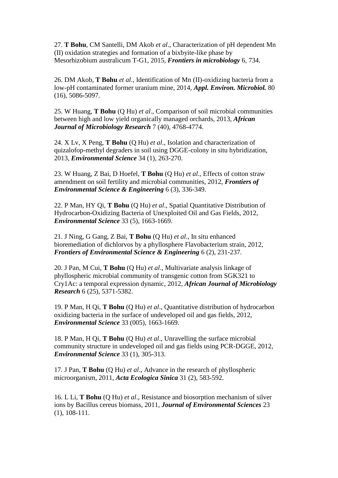27. **T Bohu**, CM Santelli, DM Akob *et al*., Characterization of pH dependent Mn (II) oxidation strategies and formation of a bixbyite-like phase by Mesorhizobium australicum T-G1, 2015, *Frontiers in microbiology* 6, 734.

26. DM Akob, **T Bohu** *et al*., Identification of Mn (II)-oxidizing bacteria from a low-pH contaminated former uranium mine, 2014, *Appl. Environ. Microbiol.* 80 (16), 5086-5097.

25. W Huang, **T Bohu** (Q Hu) *et al*., Comparison of soil microbial communities between high and low yield organically managed orchards, 2013, *African Journal of Microbiology Research* 7 (40), 4768-4774.

24. X Lv, X Peng, **T Bohu** (Q Hu) *et al*., Isolation and characterization of quizalofop-methyl degraders in soil using DGGE-colony in situ hybridization, 2013, *Environmental Science* 34 (1), 263-270.

23. W Huang, Z Bai, D Hoefel, **T Bohu** (Q Hu) *et al*., Effects of cotton straw amendment on soil fertility and microbial communities, 2012, *Frontiers of Environmental Science & Engineering* 6 (3), 336-349.

22. P Man, HY Qi, **T Bohu** (Q Hu) *et al*., Spatial Quantitative Distribution of Hydrocarbon-Oxidizing Bacteria of Unexploited Oil and Gas Fields, 2012, *Environmental Science* 33 (5), 1663-1669.

21. J Ning, G Gang, Z Bai, **T Bohu** (Q Hu) *et al*., In situ enhanced bioremediation of dichlorvos by a phyllosphere Flavobacterium strain, 2012, *Frontiers of Environmental Science & Engineering* 6 (2), 231-237.

20. J Pan, M Cui, **T Bohu** (Q Hu) *et al*., Multivariate analysis linkage of phyllospheric microbial community of transgenic cotton from SGK321 to Cry1Ac: a temporal expression dynamic, 2012, *African Journal of Microbiology Research* 6 (25), 5371-5382.

19. P Man, H Qi, **T Bohu** (Q Hu) *et al*., Quantitative distribution of hydrocarbon oxidizing bacteria in the surface of undeveloped oil and gas fields, 2012, *Environmental Science* 33 (005), 1663-1669.

18. P Man, H Qi, **T Bohu** (Q Hu) *et al*., Unravelling the surface microbial community structure in undeveloped oil and gas fields using PCR-DGGE, 2012, *Environmental Science* 33 (1), 305-313.

17. J Pan, **T Bohu** (Q Hu) *et al*., Advance in the research of phyllospheric microorganism, 2011, *Acta Ecologica Sinica* 31 (2), 583-592.

16. L Li, **T Bohu** (Q Hu) *et al*., Resistance and biosorption mechanism of silver ions by Bacillus cereus biomass, 2011, *Journal of Environmental Sciences* 23 (1), 108-111.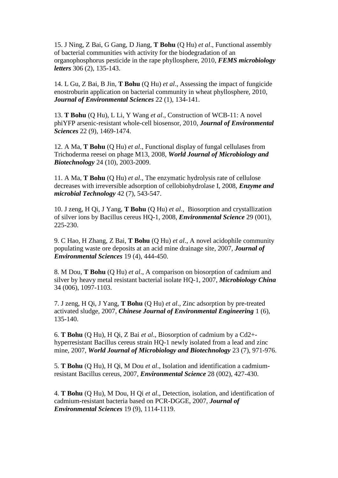15. J Ning, Z Bai, G Gang, D Jiang, **T Bohu** (Q Hu) *et al*., Functional assembly of bacterial communities with activity for the biodegradation of an organophosphorus pesticide in the rape phyllosphere, 2010, *FEMS microbiology letters* 306 (2), 135-143.

14. L Gu, Z Bai, B Jin, **T Bohu** (Q Hu) *et al*., Assessing the impact of fungicide enostroburin application on bacterial community in wheat phyllosphere, 2010, *Journal of Environmental Sciences* 22 (1), 134-141.

13. **T Bohu** (Q Hu), L Li, Y Wang *et al*., Construction of WCB-11: A novel phiYFP arsenic-resistant whole-cell biosensor, 2010, *Journal of Environmental Sciences* 22 (9), 1469-1474.

12. A Ma, **T Bohu** (Q Hu) *et al*., Functional display of fungal cellulases from Trichoderma reesei on phage M13, 2008, *World Journal of Microbiology and Biotechnology* 24 (10), 2003-2009.

11. A Ma, **T Bohu** (Q Hu) *et al*., The enzymatic hydrolysis rate of cellulose decreases with irreversible adsorption of cellobiohydrolase I, 2008, *Enzyme and microbial Technology* 42 (7), 543-547.

10. J zeng, H Qi, J Yang, **T Bohu** (Q Hu) *et al*., Biosorption and crystallization of silver ions by Bacillus cereus HQ-1, 2008, *Environmental Science* 29 (001), 225-230.

9. C Hao, H Zhang, Z Bai, **T Bohu** (Q Hu) *et al*., A novel acidophile community populating waste ore deposits at an acid mine drainage site, 2007, *Journal of Environmental Sciences* 19 (4), 444-450.

8. M Dou, **T Bohu** (Q Hu) *et al*., A comparison on biosorption of cadmium and silver by heavy metal resistant bacterial isolate HQ-1, 2007, *Microbiology China* 34 (006), 1097-1103.

7. J zeng, H Qi, J Yang, **T Bohu** (Q Hu) *et al*., Zinc adsorption by pre-treated activated sludge, 2007, *Chinese Journal of Environmental Engineering* 1 (6), 135-140.

6. **T Bohu** (Q Hu), H Qi, Z Bai *et al*., Biosorption of cadmium by a Cd2+ hyperresistant Bacillus cereus strain HQ-1 newly isolated from a lead and zinc mine, 2007, *World Journal of Microbiology and Biotechnology* 23 (7), 971-976.

5. **T Bohu** (Q Hu), H Qi, M Dou *et al*., Isolation and identification a cadmiumresistant Bacillus cereus, 2007, *Environmental Science* 28 (002), 427-430.

4. **T Bohu** (Q Hu), M Dou, H Qi *et al*., Detection, isolation, and identification of cadmium-resistant bacteria based on PCR-DGGE, 2007, *Journal of Environmental Sciences* 19 (9), 1114-1119.